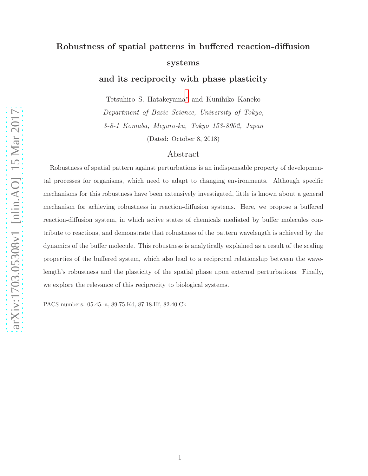## Robustness of spatial patterns in buffered reaction-diffusion systems

and its reciprocity with phase plasticity

Tetsuhiro S. Hatakeyama[∗](#page-10-0) and Kunihiko Kaneko

Department of Basic Science, University of Tokyo,

3-8-1 Komaba, Meguro-ku, Tokyo 153-8902, Japan

(Dated: October 8, 2018)

## Abstract

Robustness of spatial pattern against perturbations is an indispensable property of developmental processes for organisms, which need to adapt to changing environments. Although specific mechanisms for this robustness have been extensively investigated, little is known about a general mechanism for achieving robustness in reaction-diffusion systems. Here, we propose a buffered reaction-diffusion system, in which active states of chemicals mediated by buffer molecules contribute to reactions, and demonstrate that robustness of the pattern wavelength is achieved by the dynamics of the buffer molecule. This robustness is analytically explained as a result of the scaling properties of the buffered system, which also lead to a reciprocal relationship between the wavelength's robustness and the plasticity of the spatial phase upon external perturbations. Finally, we explore the relevance of this reciprocity to biological systems.

PACS numbers: 05.45.-a, 89.75.Kd, 87.18.Hf, 82.40.Ck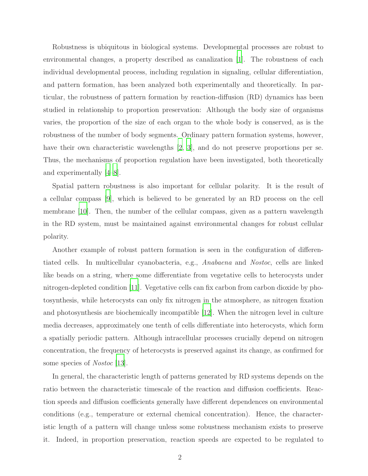Robustness is ubiquitous in biological systems. Developmental processes are robust to environmental changes, a property described as canalization [\[1\]](#page-10-1). The robustness of each individual developmental process, including regulation in signaling, cellular differentiation, and pattern formation, has been analyzed both experimentally and theoretically. In particular, the robustness of pattern formation by reaction-diffusion (RD) dynamics has been studied in relationship to proportion preservation: Although the body size of organisms varies, the proportion of the size of each organ to the whole body is conserved, as is the robustness of the number of body segments. Ordinary pattern formation systems, however, have their own characteristic wavelengths [\[2](#page-10-2), [3\]](#page-10-3), and do not preserve proportions per se. Thus, the mechanisms of proportion regulation have been investigated, both theoretically and experimentally [\[4](#page-10-4)[–8\]](#page-10-5).

Spatial pattern robustness is also important for cellular polarity. It is the result of a cellular compass [\[9](#page-10-6)], which is believed to be generated by an RD process on the cell membrane [\[10](#page-10-7)]. Then, the number of the cellular compass, given as a pattern wavelength in the RD system, must be maintained against environmental changes for robust cellular polarity.

Another example of robust pattern formation is seen in the configuration of differentiated cells. In multicellular cyanobacteria, e.g., Anabaena and Nostoc, cells are linked like beads on a string, where some differentiate from vegetative cells to heterocysts under nitrogen-depleted condition [\[11\]](#page-10-8). Vegetative cells can fix carbon from carbon dioxide by photosynthesis, while heterocysts can only fix nitrogen in the atmosphere, as nitrogen fixation and photosynthesis are biochemically incompatible [\[12\]](#page-10-9). When the nitrogen level in culture media decreases, approximately one tenth of cells differentiate into heterocysts, which form a spatially periodic pattern. Although intracellular processes crucially depend on nitrogen concentration, the frequency of heterocysts is preserved against its change, as confirmed for some species of *Nostoc* [\[13\]](#page-10-10).

In general, the characteristic length of patterns generated by RD systems depends on the ratio between the characteristic timescale of the reaction and diffusion coefficients. Reaction speeds and diffusion coefficients generally have different dependences on environmental conditions (e.g., temperature or external chemical concentration). Hence, the characteristic length of a pattern will change unless some robustness mechanism exists to preserve it. Indeed, in proportion preservation, reaction speeds are expected to be regulated to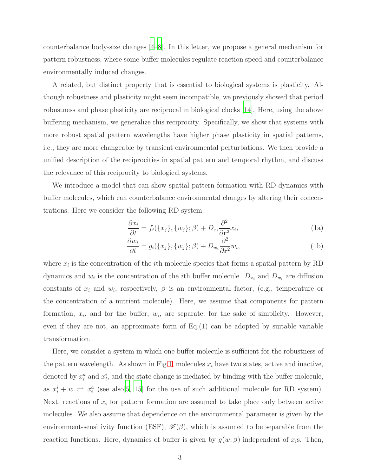counterbalance body-size changes [\[4](#page-10-4)[–8\]](#page-10-5). In this letter, we propose a general mechanism for pattern robustness, where some buffer molecules regulate reaction speed and counterbalance environmentally induced changes.

A related, but distinct property that is essential to biological systems is plasticity. Although robustness and plasticity might seem incompatible, we previously showed that period robustness and phase plasticity are reciprocal in biological clocks [\[14\]](#page-10-11). Here, using the above buffering mechanism, we generalize this reciprocity. Specifically, we show that systems with more robust spatial pattern wavelengths have higher phase plasticity in spatial patterns, i.e., they are more changeable by transient environmental perturbations. We then provide a unified description of the reciprocities in spatial pattern and temporal rhythm, and discuss the relevance of this reciprocity to biological systems.

We introduce a model that can show spatial pattern formation with RD dynamics with buffer molecules, which can counterbalance environmental changes by altering their concentrations. Here we consider the following RD system:

$$
\frac{\partial x_i}{\partial t} = f_i(\{x_j\}, \{w_j\}; \beta) + D_{x_i} \frac{\partial^2}{\partial \mathbf{r}^2} x_i,
$$
\n(1a)

$$
\frac{\partial w_i}{\partial t} = g_i(\{x_j\}, \{w_j\}; \beta) + D_{w_i} \frac{\partial^2}{\partial \mathbf{r}^2} w_i,
$$
\n(1b)

where  $x_i$  is the concentration of the *i*<sup>th</sup> molecule species that forms a spatial pattern by RD dynamics and  $w_i$  is the concentration of the *i*th buffer molecule.  $D_{x_i}$  and  $D_{w_i}$  are diffusion constants of  $x_i$  and  $w_i$ , respectively,  $\beta$  is an environmental factor, (e.g., temperature or the concentration of a nutrient molecule). Here, we assume that components for pattern formation,  $x_i$ , and for the buffer,  $w_i$ , are separate, for the sake of simplicity. However, even if they are not, an approximate form of  $Eq.(1)$  can be adopted by suitable variable transformation.

Here, we consider a system in which one buffer molecule is sufficient for the robustness of the pattern wavelength. As shown in Fig[.1,](#page-3-0) molecules  $x_i$  have two states, active and inactive, denoted by  $x_i^a$  and  $x_i^i$ , and the state change is mediated by binding with the buffer molecule, as  $x_i^i + w \rightleftharpoons x_i^a$  (see also[\[5](#page-10-12), [15](#page-10-13)] for the use of such additional molecule for RD system). Next, reactions of  $x_i$  for pattern formation are assumed to take place only between active molecules. We also assume that dependence on the environmental parameter is given by the environment-sensitivity function (ESF),  $\mathscr{F}(\beta)$ , which is assumed to be separable from the reaction functions. Here, dynamics of buffer is given by  $g(w; \beta)$  independent of  $x_i$ s. Then,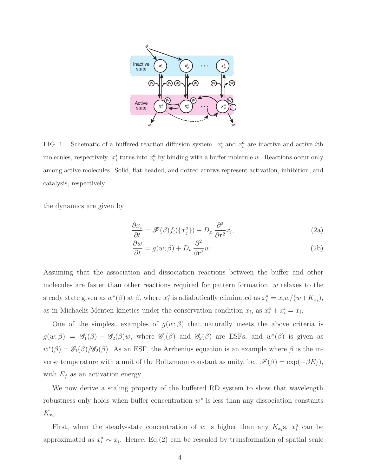

<span id="page-3-0"></span>FIG. 1. Schematic of a buffered reaction-diffusion system.  $x_i^i$  and  $x_i^a$  are inactive and active *i*th molecules, respectively.  $x_i^i$  turns into  $x_i^a$  by binding with a buffer molecule w. Reactions occur only among active molecules. Solid, flat-headed, and dotted arrows represent activation, inhibition, and catalysis, respectively.

the dynamics are given by

<span id="page-3-1"></span>
$$
\frac{\partial x_i}{\partial t} = \mathscr{F}(\beta) f_i(\{x_j^a\}) + D_{x_i} \frac{\partial^2}{\partial \mathbf{r}^2} x_i,
$$
\n(2a)

$$
\frac{\partial w}{\partial t} = g(w; \beta) + D_w \frac{\partial^2}{\partial \mathbf{r}^2} w.
$$
\n(2b)

Assuming that the association and dissociation reactions between the buffer and other molecules are faster than other reactions required for pattern formation, w relaxes to the steady state given as  $w^*(\beta)$  at  $\beta$ , where  $x_i^a$  is adiabatically eliminated as  $x_i^a = x_i w/(w+K_{x_i})$ , as in Michaelis-Menten kinetics under the conservation condition  $x_i$ , as  $x_i^a + x_i^i = x_i$ .

One of the simplest examples of  $g(w;\beta)$  that naturally meets the above criteria is  $g(w;\beta) = \mathscr{G}_1(\beta) - \mathscr{G}_2(\beta)w$ , where  $\mathscr{G}_1(\beta)$  and  $\mathscr{G}_2(\beta)$  are ESFs, and  $w^*(\beta)$  is given as  $w^*(\beta) = \mathscr{G}_1(\beta)/\mathscr{G}_2(\beta)$ . As an ESF, the Arrhenius equation is an example where  $\beta$  is the inverse temperature with a unit of the Boltzmann constant as unity, i.e.,  $\mathscr{F}(\beta) = \exp(-\beta E_f)$ , with  $E_f$  as an activation energy.

We now derive a scaling property of the buffered RD system to show that wavelength robustness only holds when buffer concentration  $w^*$  is less than any dissociation constants  $K_{x_i}$ .

First, when the steady-state concentration of w is higher than any  $K_{x_i}$ s,  $x_i^a$  can be approximated as  $x_i^a \sim x_i$ . Hence, Eq.(2) can be rescaled by transformation of spatial scale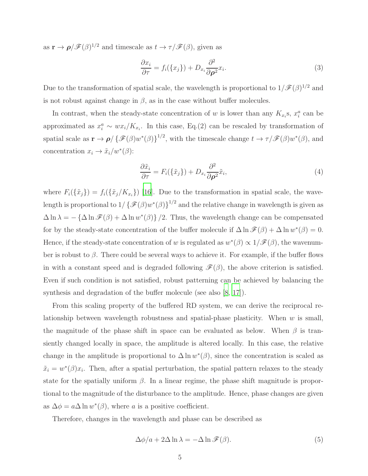as  $\mathbf{r} \to \rho/\mathscr{F}(\beta)^{1/2}$  and timescale as  $t \to \tau/\mathscr{F}(\beta)$ , given as

$$
\frac{\partial x_i}{\partial \tau} = f_i(\{x_j\}) + D_{x_i} \frac{\partial^2}{\partial \rho^2} x_i.
$$
\n(3)

Due to the transformation of spatial scale, the wavelength is proportional to  $1/\mathscr{F}(\beta)^{1/2}$  and is not robust against change in  $\beta$ , as in the case without buffer molecules.

In contrast, when the steady-state concentration of w is lower than any  $K_{x_i}$ s,  $x_i^a$  can be approximated as  $x_i^a \sim wx_i/K_{x_i}$ . In this case, Eq.(2) can be rescaled by transformation of spatial scale as  $\mathbf{r} \to \boldsymbol{\rho} / \{ \mathcal{F}(\beta) w^*(\beta) \}^{1/2}$ , with the timescale change  $t \to \tau / \mathcal{F}(\beta) w^*(\beta)$ , and concentration  $x_i \to \tilde{x}_i/w^*(\beta)$ :

<span id="page-4-1"></span>
$$
\frac{\partial \tilde{x}_i}{\partial \tau} = F_i(\{\tilde{x}_j\}) + D_{x_i} \frac{\partial^2}{\partial \rho^2} \tilde{x}_i,\tag{4}
$$

where  $F_i(\{\tilde{x}_j\}) = f_i(\{\tilde{x}_j/K_{x_i}\})$  [\[16](#page-10-14)]. Due to the transformation in spatial scale, the wavelength is proportional to  $1/\{\mathscr{F}(\beta)w^*(\beta)\}^{1/2}$  and the relative change in wavelength is given as  $\Delta \ln \lambda = - \{ \Delta \ln \mathcal{F}(\beta) + \Delta \ln w^*(\beta) \}/2$ . Thus, the wavelength change can be compensated for by the steady-state concentration of the buffer molecule if  $\Delta \ln \mathcal{F}(\beta) + \Delta \ln w^*(\beta) = 0$ . Hence, if the steady-state concentration of w is regulated as  $w^*(\beta) \propto 1/\mathscr{F}(\beta)$ , the wavenumber is robust to  $\beta$ . There could be several ways to achieve it. For example, if the buffer flows in with a constant speed and is degraded following  $\mathcal{F}(\beta)$ , the above criterion is satisfied. Even if such condition is not satisfied, robust patterning can be achieved by balancing the synthesis and degradation of the buffer molecule (see also  $(8, 17)$ ).

From this scaling property of the buffered RD system, we can derive the reciprocal relationship between wavelength robustness and spatial-phase plasticity. When  $w$  is small, the magnitude of the phase shift in space can be evaluated as below. When  $\beta$  is transiently changed locally in space, the amplitude is altered locally. In this case, the relative change in the amplitude is proportional to  $\Delta \ln w^*(\beta)$ , since the concentration is scaled as  $\tilde{x}_i = w^*(\beta)x_i$ . Then, after a spatial perturbation, the spatial pattern relaxes to the steady state for the spatially uniform  $\beta$ . In a linear regime, the phase shift magnitude is proportional to the magnitude of the disturbance to the amplitude. Hence, phase changes are given as  $\Delta \phi = a \Delta \ln w^*(\beta)$ , where a is a positive coefficient.

Therefore, changes in the wavelength and phase can be described as

<span id="page-4-0"></span>
$$
\Delta \phi / a + 2\Delta \ln \lambda = -\Delta \ln \mathcal{F}(\beta). \tag{5}
$$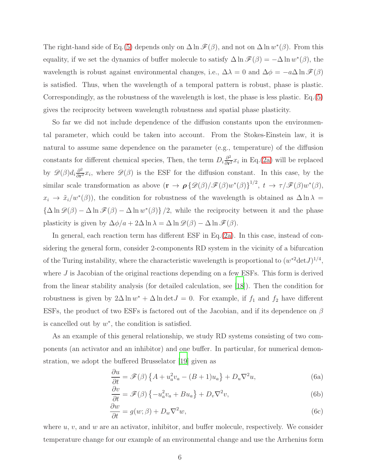The right-hand side of Eq.[\(5\)](#page-4-0) depends only on  $\Delta \ln \mathscr{F}(\beta)$ , and not on  $\Delta \ln w^*(\beta)$ . From this equality, if we set the dynamics of buffer molecule to satisfy  $\Delta \ln \mathscr{F}(\beta) = -\Delta \ln w^*(\beta)$ , the wavelength is robust against environmental changes, i.e.,  $\Delta \lambda = 0$  and  $\Delta \phi = -a\Delta \ln \mathcal{F}(\beta)$ is satisfied. Thus, when the wavelength of a temporal pattern is robust, phase is plastic. Correspondingly, as the robustness of the wavelength is lost, the phase is less plastic. Eq.[\(5\)](#page-4-0) gives the reciprocity between wavelength robustness and spatial phase plasticity.

So far we did not include dependence of the diffusion constants upon the environmental parameter, which could be taken into account. From the Stokes-Einstein law, it is natural to assume same dependence on the parameter (e.g., temperature) of the diffusion constants for different chemical species, Then, the term  $D_i \frac{\partial^2}{\partial r_i^2}$  $\frac{\partial^2}{\partial r^2} x_i$  in Eq.[\(2a\)](#page-3-1) will be replaced by  $\mathscr{D}(\beta)d_i\frac{\partial^2}{\partial r^2}$  $\frac{\partial^2}{\partial r^2}x_i$ , where  $\mathscr{D}(\beta)$  is the ESF for the diffusion constant. In this case, by the similar scale transformation as above  $(\mathbf{r} \to \boldsymbol{\rho} \{ \mathscr{D}(\beta)/\mathscr{F}(\beta)w^*(\beta)\}^{1/2}, t \to \tau/\mathscr{F}(\beta)w^*(\beta),$  $x_i \to \tilde{x}_i/w^*(\beta)$ , the condition for robustness of the wavelength is obtained as  $\Delta \ln \lambda =$  ${\{\Delta \ln \mathscr{D}(\beta) - \Delta \ln \mathscr{F}(\beta) - \Delta \ln w^*(\beta)\}}$ /2, while the reciprocity between it and the phase plasticity is given by  $\Delta \phi/a + 2\Delta \ln \lambda = \Delta \ln \mathcal{D}(\beta) - \Delta \ln \mathcal{F}(\beta)$ .

In general, each reaction term has different ESF in Eq.[\(2a\)](#page-3-1). In this case, instead of considering the general form, consider 2-components RD system in the vicinity of a bifurcation of the Turing instability, where the characteristic wavelength is proportional to  $(w^{*2} det J)^{1/4}$ , where  $J$  is Jacobian of the original reactions depending on a few ESFs. This form is derived from the linear stability analysis (for detailed calculation, see [\[18\]](#page-11-1)). Then the condition for robustness is given by  $2\Delta \ln w^* + \Delta \ln \det J = 0$ . For example, if  $f_1$  and  $f_2$  have different ESFs, the product of two ESFs is factored out of the Jacobian, and if its dependence on  $\beta$ is cancelled out by  $w^*$ , the condition is satisfied.

As an example of this general relationship, we study RD systems consisting of two components (an activator and an inhibitor) and one buffer. In particular, for numerical demonstration, we adopt the buffered Brusselator [\[19](#page-11-2)] given as

$$
\frac{\partial u}{\partial t} = \mathscr{F}(\beta) \left\{ A + u_a^2 v_a - (B+1) u_a \right\} + D_u \nabla^2 u,\tag{6a}
$$

$$
\frac{\partial v}{\partial t} = \mathscr{F}(\beta) \left\{ -u_a^2 v_a + B u_a \right\} + D_v \nabla^2 v,\tag{6b}
$$

$$
\frac{\partial w}{\partial t} = g(w; \beta) + D_w \nabla^2 w,\tag{6c}
$$

where  $u, v$ , and  $w$  are an activator, inhibitor, and buffer molecule, respectively. We consider temperature change for our example of an environmental change and use the Arrhenius form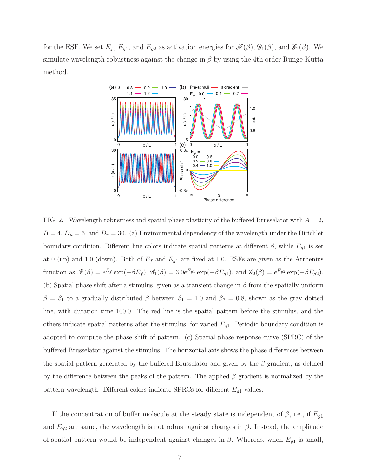for the ESF. We set  $E_f$ ,  $E_{g1}$ , and  $E_{g2}$  as activation energies for  $\mathscr{F}(\beta)$ ,  $\mathscr{G}_1(\beta)$ , and  $\mathscr{G}_2(\beta)$ . We simulate wavelength robustness against the change in  $\beta$  by using the 4th order Runge-Kutta method.



<span id="page-6-0"></span>FIG. 2. Wavelength robustness and spatial phase plasticity of the buffered Brusselator with  $A = 2$ ,  $B = 4$ ,  $D_u = 5$ , and  $D_v = 30$ . (a) Environmental dependency of the wavelength under the Dirichlet boundary condition. Different line colors indicate spatial patterns at different  $\beta$ , while  $E_{g1}$  is set at 0 (up) and 1.0 (down). Both of  $E_f$  and  $E_{g1}$  are fixed at 1.0. ESFs are given as the Arrhenius function as  $\mathscr{F}(\beta) = e^{E_f} \exp(-\beta E_f)$ ,  $\mathscr{G}_1(\beta) = 3.0e^{E_{g1}} \exp(-\beta E_{g1})$ , and  $\mathscr{G}_2(\beta) = e^{E_{g2}} \exp(-\beta E_{g2})$ . (b) Spatial phase shift after a stimulus, given as a transient change in  $\beta$  from the spatially uniform  $\beta = \beta_1$  to a gradually distributed  $\beta$  between  $\beta_1 = 1.0$  and  $\beta_2 = 0.8$ , shown as the gray dotted line, with duration time 100.0. The red line is the spatial pattern before the stimulus, and the others indicate spatial patterns after the stimulus, for varied  $E_{g1}$ . Periodic boundary condition is adopted to compute the phase shift of pattern. (c) Spatial phase response curve (SPRC) of the buffered Brusselator against the stimulus. The horizontal axis shows the phase differences between the spatial pattern generated by the buffered Brusselator and given by the  $\beta$  gradient, as defined by the difference between the peaks of the pattern. The applied  $\beta$  gradient is normalized by the pattern wavelength. Different colors indicate SPRCs for different  $E_{g1}$  values.

If the concentration of buffer molecule at the steady state is independent of  $\beta$ , i.e., if  $E_{g1}$ and  $E_{g2}$  are same, the wavelength is not robust against changes in  $\beta$ . Instead, the amplitude of spatial pattern would be independent against changes in  $\beta$ . Whereas, when  $E_{g1}$  is small,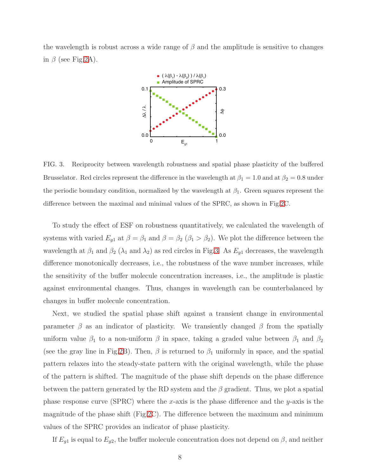the wavelength is robust across a wide range of  $\beta$  and the amplitude is sensitive to changes in  $\beta$  (see Fig[.2A](#page-6-0)).



<span id="page-7-0"></span>FIG. 3. Reciprocity between wavelength robustness and spatial phase plasticity of the buffered Brusselator. Red circles represent the difference in the wavelength at  $\beta_1 = 1.0$  and at  $\beta_2 = 0.8$  under the periodic boundary condition, normalized by the wavelength at  $\beta_1$ . Green squares represent the difference between the maximal and minimal values of the SPRC, as shown in Fig[.2C](#page-6-0).

To study the effect of ESF on robustness quantitatively, we calculated the wavelength of systems with varied  $E_{g1}$  at  $\beta = \beta_1$  and  $\beta = \beta_2$  ( $\beta_1 > \beta_2$ ). We plot the difference between the wavelength at  $\beta_1$  and  $\beta_2$  ( $\lambda_1$  and  $\lambda_2$ ) as red circles in Fig[.3.](#page-7-0) As  $E_{g1}$  decreases, the wavelength difference monotonically decreases, i.e., the robustness of the wave number increases, while the sensitivity of the buffer molecule concentration increases, i.e., the amplitude is plastic against environmental changes. Thus, changes in wavelength can be counterbalanced by changes in buffer molecule concentration.

Next, we studied the spatial phase shift against a transient change in environmental parameter  $\beta$  as an indicator of plasticity. We transiently changed  $\beta$  from the spatially uniform value  $\beta_1$  to a non-uniform  $\beta$  in space, taking a graded value between  $\beta_1$  and  $\beta_2$ (see the gray line in Fig[.2B](#page-6-0)). Then,  $\beta$  is returned to  $\beta_1$  uniformly in space, and the spatial pattern relaxes into the steady-state pattern with the original wavelength, while the phase of the pattern is shifted. The magnitude of the phase shift depends on the phase difference between the pattern generated by the RD system and the  $\beta$  gradient. Thus, we plot a spatial phase response curve (SPRC) where the x-axis is the phase difference and the y-axis is the magnitude of the phase shift (Fig[.2C](#page-6-0)). The difference between the maximum and minimum values of the SPRC provides an indicator of phase plasticity.

If  $E_{g1}$  is equal to  $E_{g2}$ , the buffer molecule concentration does not depend on  $\beta$ , and neither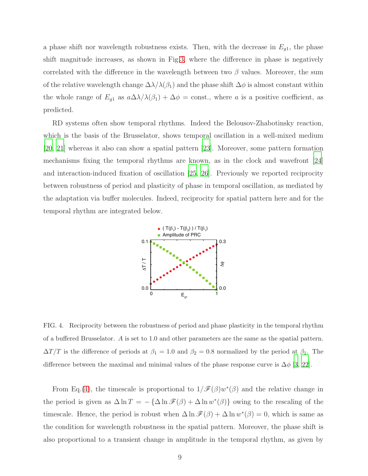a phase shift nor wavelength robustness exists. Then, with the decrease in  $E_{g1}$ , the phase shift magnitude increases, as shown in Fig[.3,](#page-7-0) where the difference in phase is negatively correlated with the difference in the wavelength between two  $\beta$  values. Moreover, the sum of the relative wavelength change  $\Delta\lambda/\lambda(\beta_1)$  and the phase shift  $\Delta\phi$  is almost constant within the whole range of  $E_{g1}$  as  $a\Delta\lambda/\lambda(\beta_1) + \Delta\phi = \text{const.}$ , where a is a positive coefficient, as predicted.

RD systems often show temporal rhythms. Indeed the Belousov-Zhabotinsky reaction, which is the basis of the Brusselator, shows temporal oscillation in a well-mixed medium [\[20](#page-11-3), [21](#page-11-4)] whereas it also can show a spatial pattern [\[23\]](#page-11-5). Moreover, some pattern formation mechanisms fixing the temporal rhythms are known, as in the clock and wavefront [\[24\]](#page-11-6) and interaction-induced fixation of oscillation [\[25,](#page-11-7) [26](#page-11-8)]. Previously we reported reciprocity between robustness of period and plasticity of phase in temporal oscillation, as mediated by the adaptation via buffer molecules. Indeed, reciprocity for spatial pattern here and for the temporal rhythm are integrated below.



<span id="page-8-0"></span>FIG. 4. Reciprocity between the robustness of period and phase plasticity in the temporal rhythm of a buffered Brusselator. A is set to 1.0 and other parameters are the same as the spatial pattern.  $\Delta T/T$  is the difference of periods at  $\beta_1 = 1.0$  and  $\beta_2 = 0.8$  normalized by the period at  $\beta_1$ . The difference between the maximal and minimal values of the phase response curve is  $\Delta\phi$  [\[3,](#page-10-3) [22](#page-11-9)].

From Eq.[\(4\)](#page-4-1), the timescale is proportional to  $1/\mathscr{F}(\beta)w^*(\beta)$  and the relative change in the period is given as  $\Delta \ln T = -\{\Delta \ln \mathcal{F}(\beta) + \Delta \ln w^*(\beta)\}\$ owing to the rescaling of the timescale. Hence, the period is robust when  $\Delta \ln \mathcal{F}(\beta) + \Delta \ln w^*(\beta) = 0$ , which is same as the condition for wavelength robustness in the spatial pattern. Moreover, the phase shift is also proportional to a transient change in amplitude in the temporal rhythm, as given by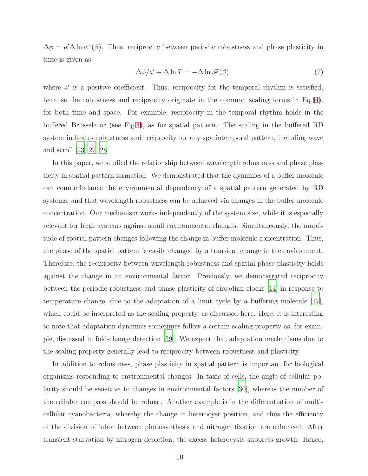$\Delta \phi = a' \Delta \ln w^*(\beta)$ . Thus, reciprocity between periodic robustness and phase plasticity in time is given as

$$
\Delta \phi / a' + \Delta \ln T = -\Delta \ln \mathcal{F}(\beta),\tag{7}
$$

where  $a'$  is a positive coefficient. Thus, reciprocity for the temporal rhythm is satisfied, because the robustness and reciprocity originate in the common scaling forms in  $Eq.(4)$  $Eq.(4)$ , for both time and space. For example, reciprocity in the temporal rhythm holds in the buffered Brusselator (see Fig[.4\)](#page-8-0), as for spatial pattern. The scaling in the buffered RD system indicates robustness and reciprocity for any spatiotemporal pattern, including wave and scroll [\[23](#page-11-5), [27](#page-11-10), [28](#page-11-11)].

In this paper, we studied the relationship between wavelength robustness and phase plasticity in spatial pattern formation. We demonstrated that the dynamics of a buffer molecule can counterbalance the environmental dependency of a spatial pattern generated by RD systems, and that wavelength robustness can be achieved via changes in the buffer molecule concentration. Our mechanism works independently of the system size, while it is especially relevant for large systems against small environmental changes. Simultaneously, the amplitude of spatial pattern changes following the change in buffer molecule concentration. Thus, the phase of the spatial pattern is easily changed by a transient change in the environment. Therefore, the reciprocity between wavelength robustness and spatial phase plasticity holds against the change in an environmental factor. Previously, we demonstrated reciprocity between the periodic robustness and phase plasticity of circadian clocks [\[14](#page-10-11)] in response to temperature change, due to the adaptation of a limit cycle by a buffering molecule [\[17\]](#page-11-0), which could be interpreted as the scaling property, as discussed here. Here, it is interesting to note that adaptation dynamics sometimes follow a certain scaling property as, for example, discussed in fold-change detection [\[29\]](#page-11-12). We expect that adaptation mechanisms due to the scaling property generally lead to reciprocity between robustness and plasticity.

In addition to robustness, phase plasticity in spatial pattern is important for biological organisms responding to environmental changes. In taxis of cells, the angle of cellular polarity should be sensitive to changes in environmental factors [\[30\]](#page-11-13), whereas the number of the cellular compass should be robust. Another example is in the differentiation of multicellular cyanobacteria, whereby the change in heterocyst position, and thus the efficiency of the division of labor between photosynthesis and nitrogen fixation are enhanced. After transient starvation by nitrogen depletion, the excess heterocysts suppress growth. Hence,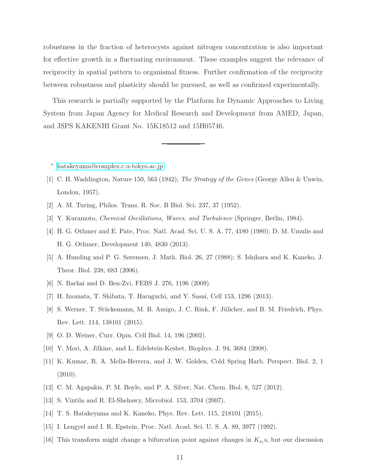robustness in the fraction of heterocysts against nitrogen concentration is also important for effective growth in a fluctuating environment. These examples suggest the relevance of reciprocity in spatial pattern to organismal fitness. Further confirmation of the reciprocity between robustness and plasticity should be pursued, as well as confirmed experimentally.

This research is partially supported by the Platform for Dynamic Approaches to Living System from Japan Agency for Medical Research and Development from AMED, Japan, and JSPS KAKENHI Grant No. 15K18512 and 15H05746.

- <span id="page-10-0"></span><sup>∗</sup> [hatakeyama@complex.c.u-tokyo.ac.jp](mailto:hatakeyama@complex.c.u-tokyo.ac.jp)
- <span id="page-10-1"></span>[1] C. H. Waddington, Nature 150, 563 (1942); The Strategy of the Genes (George Allen & Unwin, London, 1957).
- <span id="page-10-2"></span>[2] A. M. Turing, Philos. Trans. R. Soc. B Biol. Sci. 237, 37 (1952).
- <span id="page-10-3"></span>[3] Y. Kuramoto, Chemical Oscillations, Waves, and Turbulence (Springer, Berlin, 1984).
- <span id="page-10-4"></span>[4] H. G. Othmer and E. Pate, Proc. Natl. Acad. Sci. U. S. A. 77, 4180 (1980); D. M. Umulis and H. G. Othmer, Development 140, 4830 (2013).
- <span id="page-10-12"></span>[5] A. Hunding and P. G. Sørensen, J. Math. Biol. 26, 27 (1988); S. Ishihara and K. Kaneko, J. Theor. Biol. 238, 683 (2006).
- [6] N. Barkai and D. Ben-Zvi, FEBS J. 276, 1196 (2009).
- <span id="page-10-5"></span>[7] H. Inomata, T. Shibata, T. Haraguchi, and Y. Sasai, Cell 153, 1296 (2013).
- [8] S. Werner, T. Stückemann, M. B. Amigo, J. C. Rink, F. Jülicher, and B. M. Friedrich, Phys. Rev. Lett. 114, 138101 (2015).
- <span id="page-10-6"></span>[9] O. D. Weiner, Curr. Opin. Cell Biol. 14, 196 (2002).
- <span id="page-10-8"></span><span id="page-10-7"></span>[10] Y. Mori, A. Jilkine, and L. Edelstein-Keshet, Biophys. J. 94, 3684 (2008).
- [11] K. Kumar, R. A. Mella-Herrera, and J. W. Golden, Cold Spring Harb. Perspect. Biol. 2, 1 (2010).
- <span id="page-10-9"></span>[12] C. M. Agapakis, P. M. Boyle, and P. A. Silver, Nat. Chem. Biol. 8, 527 (2012).
- <span id="page-10-10"></span>[13] S. Vintila and R. El-Shehawy, Microbiol. 153, 3704 (2007).
- <span id="page-10-11"></span>[14] T. S. Hatakeyama and K. Kaneko, Phys. Rev. Lett. 115, 218101 (2015).
- <span id="page-10-13"></span>[15] I. Lengyel and I. R. Epstein, Proc. Natl. Acad. Sci. U. S. A. 89, 3977 (1992).
- <span id="page-10-14"></span>[16] This transform might change a bifurcation point against changes in  $K_{x_i}$ s, but our discussion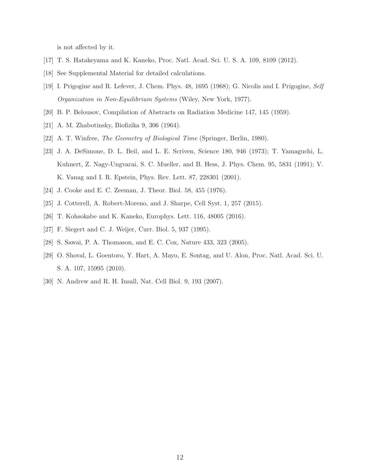is not affected by it.

- <span id="page-11-1"></span><span id="page-11-0"></span>[17] T. S. Hatakeyama and K. Kaneko, Proc. Natl. Acad. Sci. U. S. A. 109, 8109 (2012).
- <span id="page-11-2"></span>[18] See Supplemental Material for detailed calculations.
- [19] I. Prigogine and R. Lefever, J. Chem. Phys. 48, 1695 (1968); G. Nicolis and I. Prigogine, Self Organization in Non-Equilibrium Systems (Wiley, New York, 1977).
- <span id="page-11-4"></span><span id="page-11-3"></span>[20] B. P. Belousov, Compilation of Abstracts on Radiation Medicine 147, 145 (1959).
- <span id="page-11-9"></span>[21] A. M. Zhabotinsky, Biofizika 9, 306 (1964).
- <span id="page-11-5"></span>[22] A. T. Winfree, The Geometry of Biological Time (Springer, Berlin, 1980).
- [23] J. A. DeSimone, D. L. Beil, and L. E. Scriven, Science 180, 946 (1973); T. Yamaguchi, L. Kuhnert, Z. Nagy-Ungvarai, S. C. Mueller, and B. Hess, J. Phys. Chem. 95, 5831 (1991); V. K. Vanag and I. R. Epstein, Phys. Rev. Lett. 87, 228301 (2001).
- <span id="page-11-7"></span><span id="page-11-6"></span>[24] J. Cooke and E. C. Zeeman, J. Theor. Biol. 58, 455 (1976).
- <span id="page-11-8"></span>[25] J. Cotterell, A. Robert-Moreno, and J. Sharpe, Cell Syst. 1, 257 (2015).
- <span id="page-11-10"></span>[26] T. Kohsokabe and K. Kaneko, Europhys. Lett. 116, 48005 (2016).
- [27] F. Siegert and C. J. Weijer, Curr. Biol. 5, 937 (1995).
- <span id="page-11-12"></span><span id="page-11-11"></span>[28] S. Sawai, P. A. Thomason, and E. C. Cox, Nature 433, 323 (2005).
- [29] O. Shoval, L. Goentoro, Y. Hart, A. Mayo, E. Sontag, and U. Alon, Proc. Natl. Acad. Sci. U. S. A. 107, 15995 (2010).
- <span id="page-11-13"></span>[30] N. Andrew and R. H. Insall, Nat. Cell Biol. 9, 193 (2007).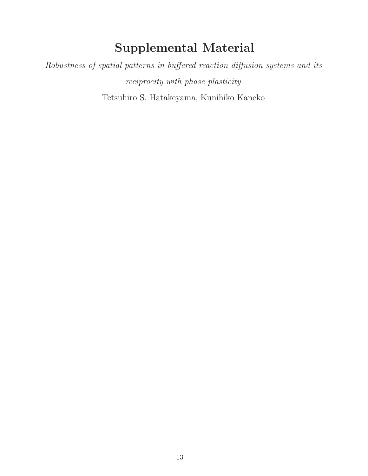## Supplemental Material

Robustness of spatial patterns in buffered reaction-diffusion systems and its reciprocity with phase plasticity Tetsuhiro S. Hatakeyama, Kunihiko Kaneko